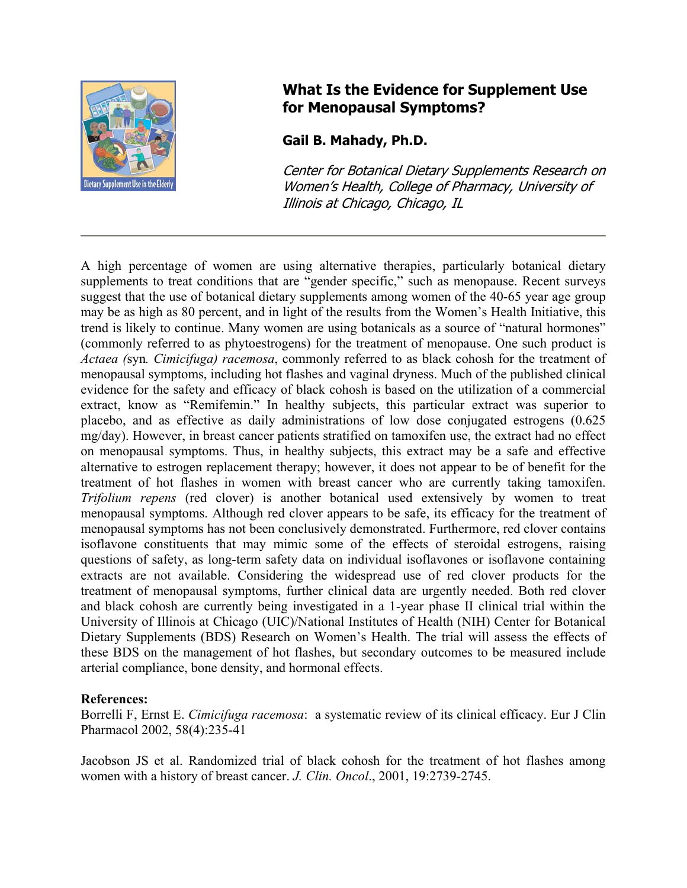

## **What Is the Evidence for Supplement Use for Menopausal Symptoms?**

**Gail B. Mahady, Ph.D.** 

Center for Botanical Dietary Supplements Research on Women's Health, College of Pharmacy, University of Illinois at Chicago, Chicago, IL

A high percentage of women are using alternative therapies, particularly botanical dietary supplements to treat conditions that are "gender specific," such as menopause. Recent surveys suggest that the use of botanical dietary supplements among women of the 40-65 year age group may be as high as 80 percent, and in light of the results from the Women's Health Initiative, this trend is likely to continue. Many women are using botanicals as a source of "natural hormones" (commonly referred to as phytoestrogens) for the treatment of menopause. One such product is *Actaea (*syn*. Cimicifuga) racemosa*, commonly referred to as black cohosh for the treatment of menopausal symptoms, including hot flashes and vaginal dryness. Much of the published clinical evidence for the safety and efficacy of black cohosh is based on the utilization of a commercial extract, know as "Remifemin." In healthy subjects, this particular extract was superior to placebo, and as effective as daily administrations of low dose conjugated estrogens (0.625 mg/day). However, in breast cancer patients stratified on tamoxifen use, the extract had no effect on menopausal symptoms. Thus, in healthy subjects, this extract may be a safe and effective alternative to estrogen replacement therapy; however, it does not appear to be of benefit for the treatment of hot flashes in women with breast cancer who are currently taking tamoxifen. *Trifolium repens* (red clover) is another botanical used extensively by women to treat menopausal symptoms. Although red clover appears to be safe, its efficacy for the treatment of menopausal symptoms has not been conclusively demonstrated. Furthermore, red clover contains isoflavone constituents that may mimic some of the effects of steroidal estrogens, raising questions of safety, as long-term safety data on individual isoflavones or isoflavone containing extracts are not available. Considering the widespread use of red clover products for the treatment of menopausal symptoms, further clinical data are urgently needed. Both red clover and black cohosh are currently being investigated in a 1-year phase II clinical trial within the University of Illinois at Chicago (UIC)/National Institutes of Health (NIH) Center for Botanical Dietary Supplements (BDS) Research on Women's Health. The trial will assess the effects of these BDS on the management of hot flashes, but secondary outcomes to be measured include arterial compliance, bone density, and hormonal effects.

## **References:**

Borrelli F, Ernst E. *Cimicifuga racemosa*: a systematic review of its clinical efficacy. Eur J Clin Pharmacol 2002, 58(4):235-41

Jacobson JS et al. Randomized trial of black cohosh for the treatment of hot flashes among women with a history of breast cancer. *J. Clin. Oncol*., 2001, 19:2739-2745.